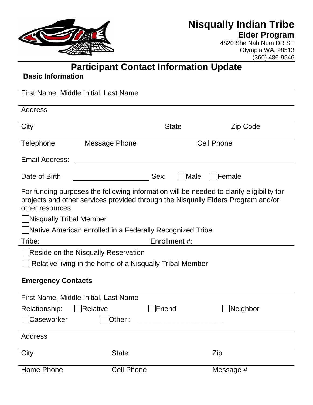

## **Nisqually Indian Tribe Elder Program**

4820 She Nah Num DR SE Olympia WA, 98513 (360) 486-9546

**Participant Contact Information Update**

## **Basic Information**

| First Name, Middle Initial, Last Name                    |                                     |                   |              |                                                                                                                                                                              |  |
|----------------------------------------------------------|-------------------------------------|-------------------|--------------|------------------------------------------------------------------------------------------------------------------------------------------------------------------------------|--|
| <b>Address</b>                                           |                                     |                   |              |                                                                                                                                                                              |  |
| City                                                     |                                     |                   | <b>State</b> | Zip Code                                                                                                                                                                     |  |
| Telephone                                                | <b>Message Phone</b>                | <b>Cell Phone</b> |              |                                                                                                                                                                              |  |
| <b>Email Address:</b>                                    |                                     |                   |              |                                                                                                                                                                              |  |
| Date of Birth                                            |                                     | Sex:              | Male         | Female                                                                                                                                                                       |  |
| other resources.                                         |                                     |                   |              | For funding purposes the following information will be needed to clarify eligibility for<br>projects and other services provided through the Nisqually Elders Program and/or |  |
| Nisqually Tribal Member                                  |                                     |                   |              |                                                                                                                                                                              |  |
| Native American enrolled in a Federally Recognized Tribe |                                     |                   |              |                                                                                                                                                                              |  |
| Tribe:                                                   | Enrollment #:                       |                   |              |                                                                                                                                                                              |  |
|                                                          | Reside on the Nisqually Reservation |                   |              |                                                                                                                                                                              |  |
| Relative living in the home of a Nisqually Tribal Member |                                     |                   |              |                                                                                                                                                                              |  |
| <b>Emergency Contacts</b>                                |                                     |                   |              |                                                                                                                                                                              |  |
| First Name, Middle Initial, Last Name                    |                                     |                   |              |                                                                                                                                                                              |  |
| Relationship:                                            | Relative                            | Friend            |              | Neighbor                                                                                                                                                                     |  |
| Caseworker                                               | $\Box$ Other:                       |                   |              |                                                                                                                                                                              |  |
| <b>Address</b>                                           |                                     |                   |              |                                                                                                                                                                              |  |
| City                                                     | <b>State</b>                        |                   |              | Zip                                                                                                                                                                          |  |
| Home Phone                                               | <b>Cell Phone</b>                   |                   |              | Message #                                                                                                                                                                    |  |